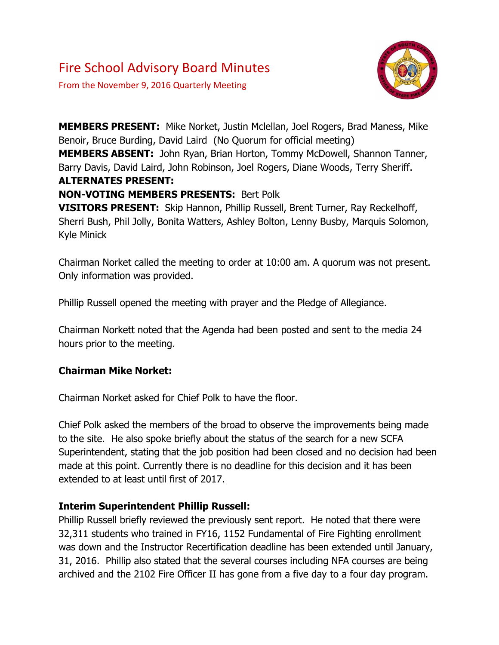# Fire School Advisory Board Minutes

From the November 9, 2016 Quarterly Meeting



**MEMBERS PRESENT:** Mike Norket, Justin Mclellan, Joel Rogers, Brad Maness, Mike Benoir, Bruce Burding, David Laird (No Quorum for official meeting)

**MEMBERS ABSENT:** John Ryan, Brian Horton, Tommy McDowell, Shannon Tanner, Barry Davis, David Laird, John Robinson, Joel Rogers, Diane Woods, Terry Sheriff. **ALTERNATES PRESENT:**

### **NON-VOTING MEMBERS PRESENTS:** Bert Polk

**VISITORS PRESENT:** Skip Hannon, Phillip Russell, Brent Turner, Ray Reckelhoff, Sherri Bush, Phil Jolly, Bonita Watters, Ashley Bolton, Lenny Busby, Marquis Solomon, Kyle Minick

Chairman Norket called the meeting to order at 10:00 am. A quorum was not present. Only information was provided.

Phillip Russell opened the meeting with prayer and the Pledge of Allegiance.

Chairman Norkett noted that the Agenda had been posted and sent to the media 24 hours prior to the meeting.

# **Chairman Mike Norket:**

Chairman Norket asked for Chief Polk to have the floor.

Chief Polk asked the members of the broad to observe the improvements being made to the site. He also spoke briefly about the status of the search for a new SCFA Superintendent, stating that the job position had been closed and no decision had been made at this point. Currently there is no deadline for this decision and it has been extended to at least until first of 2017.

#### **Interim Superintendent Phillip Russell:**

Phillip Russell briefly reviewed the previously sent report. He noted that there were 32,311 students who trained in FY16, 1152 Fundamental of Fire Fighting enrollment was down and the Instructor Recertification deadline has been extended until January, 31, 2016. Phillip also stated that the several courses including NFA courses are being archived and the 2102 Fire Officer II has gone from a five day to a four day program.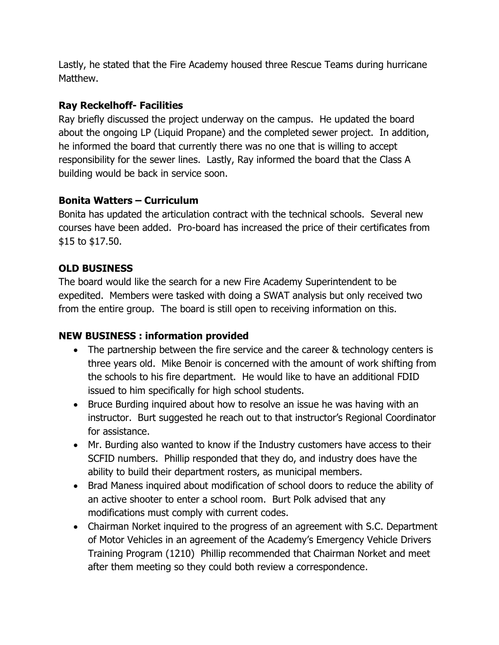Lastly, he stated that the Fire Academy housed three Rescue Teams during hurricane Matthew.

## **Ray Reckelhoff- Facilities**

Ray briefly discussed the project underway on the campus. He updated the board about the ongoing LP (Liquid Propane) and the completed sewer project. In addition, he informed the board that currently there was no one that is willing to accept responsibility for the sewer lines. Lastly, Ray informed the board that the Class A building would be back in service soon.

# **Bonita Watters – Curriculum**

Bonita has updated the articulation contract with the technical schools. Several new courses have been added. Pro-board has increased the price of their certificates from \$15 to \$17.50.

### **OLD BUSINESS**

The board would like the search for a new Fire Academy Superintendent to be expedited. Members were tasked with doing a SWAT analysis but only received two from the entire group. The board is still open to receiving information on this.

# **NEW BUSINESS : information provided**

- The partnership between the fire service and the career & technology centers is three years old. Mike Benoir is concerned with the amount of work shifting from the schools to his fire department. He would like to have an additional FDID issued to him specifically for high school students.
- Bruce Burding inquired about how to resolve an issue he was having with an instructor. Burt suggested he reach out to that instructor's Regional Coordinator for assistance.
- Mr. Burding also wanted to know if the Industry customers have access to their SCFID numbers. Phillip responded that they do, and industry does have the ability to build their department rosters, as municipal members.
- Brad Maness inquired about modification of school doors to reduce the ability of an active shooter to enter a school room. Burt Polk advised that any modifications must comply with current codes.
- Chairman Norket inquired to the progress of an agreement with S.C. Department of Motor Vehicles in an agreement of the Academy's Emergency Vehicle Drivers Training Program (1210) Phillip recommended that Chairman Norket and meet after them meeting so they could both review a correspondence.